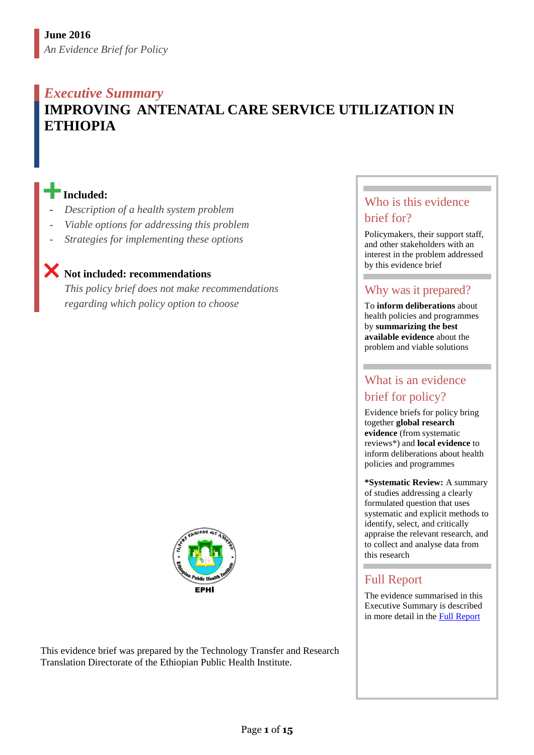### *Executive Summary* **IMPROVING ANTENATAL CARE SERVICE UTILIZATION IN ETHIOPIA**

#### **Included:**

- *Description of a health system problem*
- *Viable options for addressing this problem*
- *Strategies for implementing these options*

## **Not included: recommendations**

*This policy brief does not make recommendations regarding which policy option to choose*



This evidence brief was prepared by the Technology Transfer and Research Translation Directorate of the Ethiopian Public Health Institute.

#### Who is this evidence brief for?

Policymakers, their support staff, and other stakeholders with an interest in the problem addressed by this evidence brief

#### Why was it prepared?

To **inform deliberations** about health policies and programmes by **summarizing the best available evidence** about the problem and viable solutions

#### What is an evidence brief for policy?

Evidence briefs for policy bring together **global research evidence** (from systematic reviews\*) and **local evidence** to inform deliberations about health policies and programmes

**\*Systematic Review:** A summary of studies addressing a clearly formulated question that uses systematic and explicit methods to identify, select, and critically appraise the relevant research, and to collect and analyse data from this research

#### Full Report

The evidence summarised in this Executive Summary is described in more detail in the [Full Report](file:///E:/harriet/SURE%20Project/SURE%20program%20of%20work/SURE%20policy%20brief/SURE%20policy%20brief_SBA/work%20SBA/full%20report/Templates%20for%20creating%20new%20Policy%20Briefs/link-to-full-report)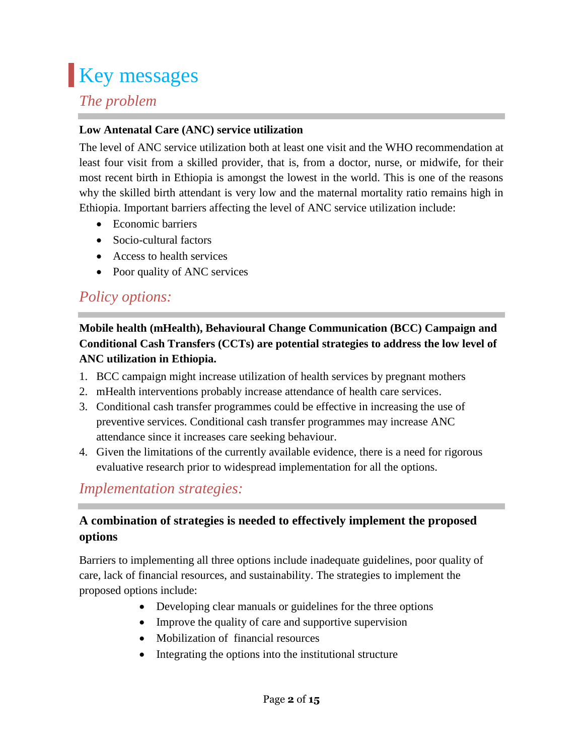## **Key messages**

#### *The problem*

#### **Low Antenatal Care (ANC) service utilization**

The level of ANC service utilization both at least one visit and the WHO recommendation at least four visit from a skilled provider, that is, from a doctor, nurse, or midwife, for their most recent birth in Ethiopia is amongst the lowest in the world. This is one of the reasons why the skilled birth attendant is very low and the maternal mortality ratio remains high in Ethiopia. Important barriers affecting the level of ANC service utilization include:

- Economic barriers
- Socio-cultural factors
- Access to health services
- Poor quality of ANC services

## *Policy options:*

#### **Mobile health (mHealth), Behavioural Change Communication (BCC) Campaign and Conditional Cash Transfers (CCTs) are potential strategies to address the low level of ANC utilization in Ethiopia.**

- 1. BCC campaign might increase utilization of health services by pregnant mothers
- 2. mHealth interventions probably increase attendance of health care services.
- 3. Conditional cash transfer programmes could be effective in increasing the use of preventive services. Conditional cash transfer programmes may increase ANC attendance since it increases care seeking behaviour.
- 4. Given the limitations of the currently available evidence, there is a need for rigorous evaluative research prior to widespread implementation for all the options.

### *Implementation strategies:*

#### **A combination of strategies is needed to effectively implement the proposed options**

Barriers to implementing all three options include inadequate guidelines, poor quality of care, lack of financial resources, and sustainability. The strategies to implement the proposed options include:

- Developing clear manuals or guidelines for the three options
- Improve the quality of care and supportive supervision
- Mobilization of financial resources
- Integrating the options into the institutional structure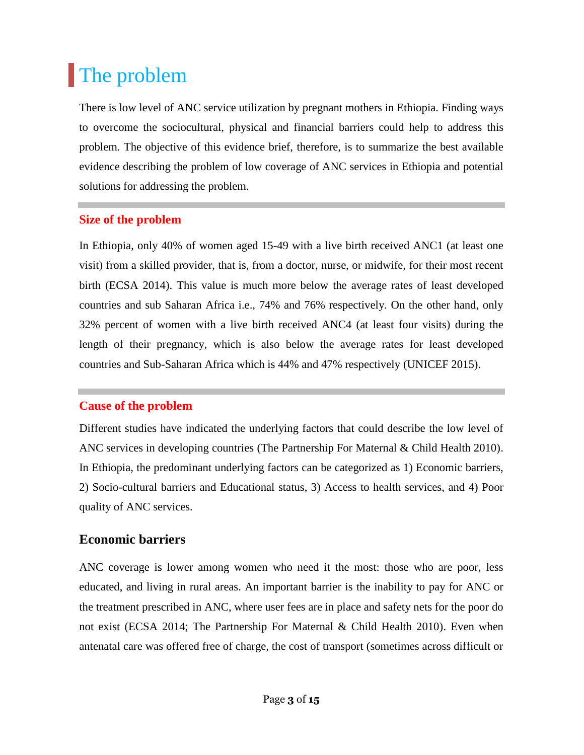## The problem

There is low level of ANC service utilization by pregnant mothers in Ethiopia. Finding ways to overcome the sociocultural, physical and financial barriers could help to address this problem. The objective of this evidence brief, therefore, is to summarize the best available evidence describing the problem of low coverage of ANC services in Ethiopia and potential solutions for addressing the problem.

#### **Size of the problem**

In Ethiopia, only 40% of women aged 15-49 with a live birth received ANC1 (at least one visit) from a skilled provider, that is, from a doctor, nurse, or midwife, for their most recent birth (ECSA 2014). This value is much more below the average rates of least developed countries and sub Saharan Africa i.e., 74% and 76% respectively. On the other hand, only 32% percent of women with a live birth received ANC4 (at least four visits) during the length of their pregnancy, which is also below the average rates for least developed countries and Sub-Saharan Africa which is 44% and 47% respectively (UNICEF 2015).

#### **Cause of the problem**

Different studies have indicated the underlying factors that could describe the low level of ANC services in developing countries (The Partnership For Maternal & Child Health 2010). In Ethiopia, the predominant underlying factors can be categorized as 1) Economic barriers, 2) Socio-cultural barriers and Educational status, 3) Access to health services, and 4) Poor quality of ANC services.

#### **Economic barriers**

ANC coverage is lower among women who need it the most: those who are poor, less educated, and living in rural areas. An important barrier is the inability to pay for ANC or the treatment prescribed in ANC, where user fees are in place and safety nets for the poor do not exist (ECSA 2014; The Partnership For Maternal & Child Health 2010). Even when antenatal care was offered free of charge, the cost of transport (sometimes across difficult or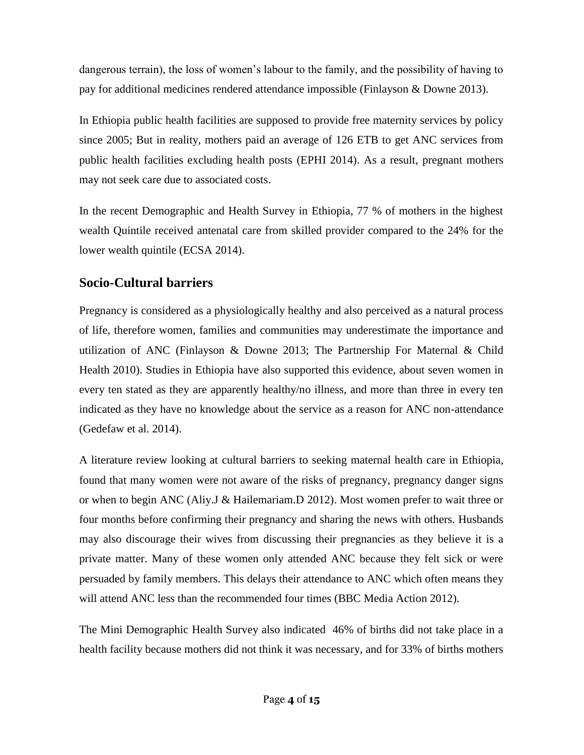dangerous terrain), the loss of women's labour to the family, and the possibility of having to pay for additional medicines rendered attendance impossible (Finlayson & Downe 2013).

In Ethiopia public health facilities are supposed to provide free maternity services by policy since 2005; But in reality, mothers paid an average of 126 ETB to get ANC services from public health facilities excluding health posts (EPHI 2014). As a result, pregnant mothers may not seek care due to associated costs.

In the recent Demographic and Health Survey in Ethiopia, 77 % of mothers in the highest wealth Quintile received antenatal care from skilled provider compared to the 24% for the lower wealth quintile (ECSA 2014).

#### **Socio-Cultural barriers**

Pregnancy is considered as a physiologically healthy and also perceived as a natural process of life, therefore women, families and communities may underestimate the importance and utilization of ANC (Finlayson & Downe 2013; The Partnership For Maternal & Child Health 2010). Studies in Ethiopia have also supported this evidence, about seven women in every ten stated as they are apparently healthy/no illness, and more than three in every ten indicated as they have no knowledge about the service as a reason for ANC non-attendance (Gedefaw et al. 2014).

A literature review looking at cultural barriers to seeking maternal health care in Ethiopia, found that many women were not aware of the risks of pregnancy, pregnancy danger signs or when to begin ANC (Aliy.J & Hailemariam.D 2012). Most women prefer to wait three or four months before confirming their pregnancy and sharing the news with others. Husbands may also discourage their wives from discussing their pregnancies as they believe it is a private matter. Many of these women only attended ANC because they felt sick or were persuaded by family members. This delays their attendance to ANC which often means they will attend ANC less than the recommended four times (BBC Media Action 2012).

The Mini Demographic Health Survey also indicated 46% of births did not take place in a health facility because mothers did not think it was necessary, and for 33% of births mothers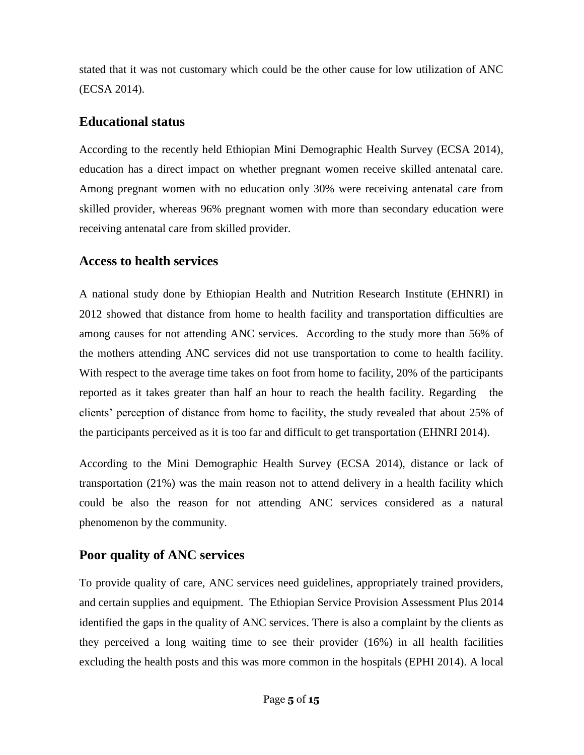stated that it was not customary which could be the other cause for low utilization of ANC (ECSA 2014).

#### **Educational status**

According to the recently held Ethiopian Mini Demographic Health Survey (ECSA 2014), education has a direct impact on whether pregnant women receive skilled antenatal care. Among pregnant women with no education only 30% were receiving antenatal care from skilled provider, whereas 96% pregnant women with more than secondary education were receiving antenatal care from skilled provider.

#### **Access to health services**

A national study done by Ethiopian Health and Nutrition Research Institute (EHNRI) in 2012 showed that distance from home to health facility and transportation difficulties are among causes for not attending ANC services. According to the study more than 56% of the mothers attending ANC services did not use transportation to come to health facility. With respect to the average time takes on foot from home to facility, 20% of the participants reported as it takes greater than half an hour to reach the health facility. Regarding the clients' perception of distance from home to facility, the study revealed that about 25% of the participants perceived as it is too far and difficult to get transportation (EHNRI 2014).

According to the Mini Demographic Health Survey (ECSA 2014), distance or lack of transportation (21%) was the main reason not to attend delivery in a health facility which could be also the reason for not attending ANC services considered as a natural phenomenon by the community.

#### **Poor quality of ANC services**

To provide quality of care, ANC services need guidelines, appropriately trained providers, and certain supplies and equipment. The Ethiopian Service Provision Assessment Plus 2014 identified the gaps in the quality of ANC services. There is also a complaint by the clients as they perceived a long waiting time to see their provider (16%) in all health facilities excluding the health posts and this was more common in the hospitals (EPHI 2014). A local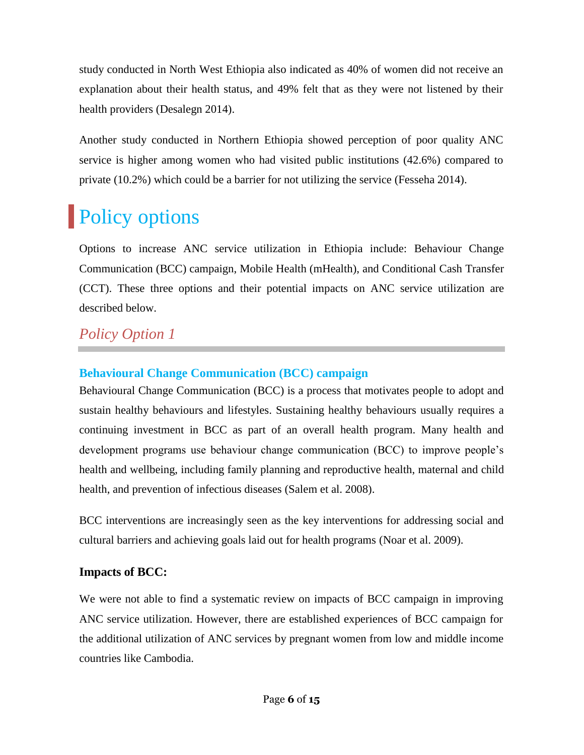study conducted in North West Ethiopia also indicated as 40% of women did not receive an explanation about their health status, and 49% felt that as they were not listened by their health providers (Desalegn 2014).

Another study conducted in Northern Ethiopia showed perception of poor quality ANC service is higher among women who had visited public institutions (42.6%) compared to private (10.2%) which could be a barrier for not utilizing the service (Fesseha 2014).

## **Policy options**

Options to increase ANC service utilization in Ethiopia include: Behaviour Change Communication (BCC) campaign, Mobile Health (mHealth), and Conditional Cash Transfer (CCT). These three options and their potential impacts on ANC service utilization are described below.

### *Policy Option 1*

#### **Behavioural Change Communication (BCC) campaign**

Behavioural Change Communication (BCC) is a process that motivates people to adopt and sustain healthy behaviours and lifestyles. Sustaining healthy behaviours usually requires a continuing investment in BCC as part of an overall health program. Many health and development programs use behaviour change communication (BCC) to improve people's health and wellbeing, including family planning and reproductive health, maternal and child health, and prevention of infectious diseases (Salem et al. 2008).

BCC interventions are increasingly seen as the key interventions for addressing social and cultural barriers and achieving goals laid out for health programs (Noar et al. 2009).

#### **Impacts of BCC:**

We were not able to find a systematic review on impacts of BCC campaign in improving ANC service utilization. However, there are established experiences of BCC campaign for the additional utilization of ANC services by pregnant women from low and middle income countries like Cambodia.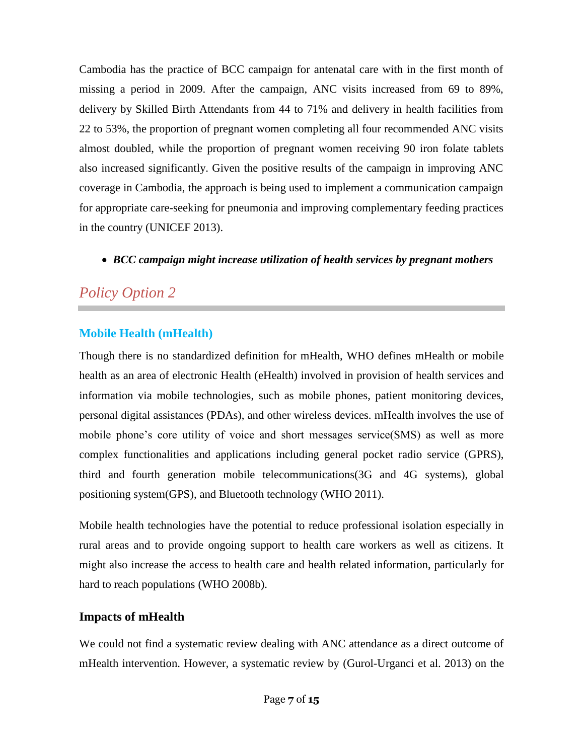Cambodia has the practice of BCC campaign for antenatal care with in the first month of missing a period in 2009. After the campaign, ANC visits increased from 69 to 89%, delivery by Skilled Birth Attendants from 44 to 71% and delivery in health facilities from 22 to 53%, the proportion of pregnant women completing all four recommended ANC visits almost doubled, while the proportion of pregnant women receiving 90 iron folate tablets also increased significantly. Given the positive results of the campaign in improving ANC coverage in Cambodia, the approach is being used to implement a communication campaign for appropriate care-seeking for pneumonia and improving complementary feeding practices in the country (UNICEF 2013).

*BCC campaign might increase utilization of health services by pregnant mothers*

### *Policy Option 2*

#### **Mobile Health (mHealth)**

Though there is no standardized definition for mHealth, WHO defines mHealth or mobile health as an area of electronic Health (eHealth) involved in provision of health services and information via mobile technologies, such as mobile phones, patient monitoring devices, personal digital assistances (PDAs), and other wireless devices. mHealth involves the use of mobile phone's core utility of voice and short messages service(SMS) as well as more complex functionalities and applications including general pocket radio service (GPRS), third and fourth generation mobile telecommunications(3G and 4G systems), global positioning system(GPS), and Bluetooth technology (WHO 2011).

Mobile health technologies have the potential to reduce professional isolation especially in rural areas and to provide ongoing support to health care workers as well as citizens. It might also increase the access to health care and health related information, particularly for hard to reach populations (WHO 2008b).

#### **Impacts of mHealth**

We could not find a systematic review dealing with ANC attendance as a direct outcome of mHealth intervention. However, a systematic review by (Gurol-Urganci et al. 2013) on the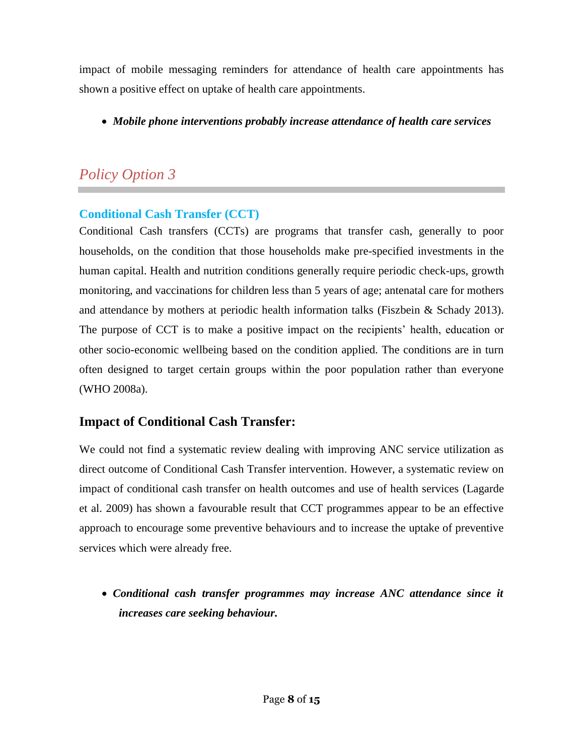impact of mobile messaging reminders for attendance of health care appointments has shown a positive effect on uptake of health care appointments.

*Mobile phone interventions probably increase attendance of health care services*

## *Policy Option 3*

#### **Conditional Cash Transfer (CCT)**

Conditional Cash transfers (CCTs) are programs that transfer cash, generally to poor households, on the condition that those households make pre-specified investments in the human capital. Health and nutrition conditions generally require periodic check-ups, growth monitoring, and vaccinations for children less than 5 years of age; antenatal care for mothers and attendance by mothers at periodic health information talks (Fiszbein & Schady 2013). The purpose of CCT is to make a positive impact on the recipients' health, education or other socio-economic wellbeing based on the condition applied. The conditions are in turn often designed to target certain groups within the poor population rather than everyone (WHO 2008a).

#### **Impact of Conditional Cash Transfer:**

We could not find a systematic review dealing with improving ANC service utilization as direct outcome of Conditional Cash Transfer intervention. However, a systematic review on impact of conditional cash transfer on health outcomes and use of health services (Lagarde et al. 2009) has shown a favourable result that CCT programmes appear to be an effective approach to encourage some preventive behaviours and to increase the uptake of preventive services which were already free.

 *Conditional cash transfer programmes may increase ANC attendance since it increases care seeking behaviour.*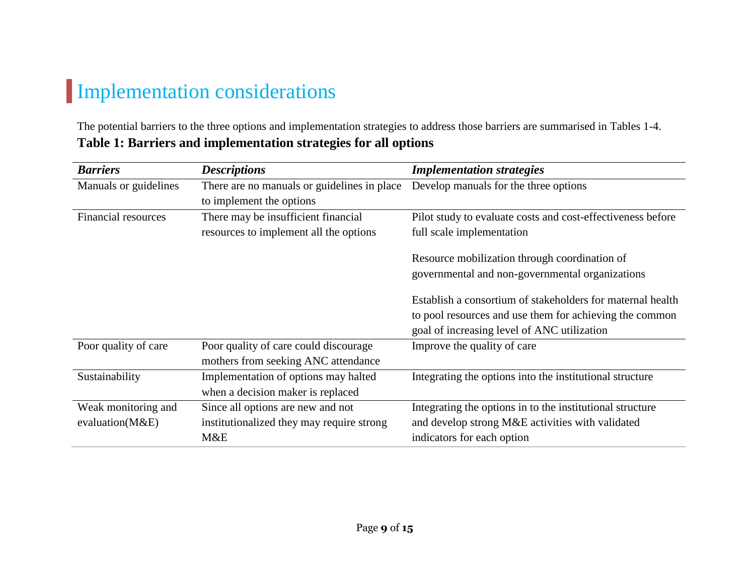## Implementation considerations

The potential barriers to the three options and implementation strategies to address those barriers are summarised in Tables 1-4. **Table 1: Barriers and implementation strategies for all options**

| <b>Barriers</b>            | <b>Descriptions</b>                         | <b>Implementation strategies</b>                            |
|----------------------------|---------------------------------------------|-------------------------------------------------------------|
| Manuals or guidelines      | There are no manuals or guidelines in place | Develop manuals for the three options                       |
|                            | to implement the options                    |                                                             |
| <b>Financial resources</b> | There may be insufficient financial         | Pilot study to evaluate costs and cost-effectiveness before |
|                            | resources to implement all the options      | full scale implementation                                   |
|                            |                                             | Resource mobilization through coordination of               |
|                            |                                             | governmental and non-governmental organizations             |
|                            |                                             | Establish a consortium of stakeholders for maternal health  |
|                            |                                             | to pool resources and use them for achieving the common     |
|                            |                                             | goal of increasing level of ANC utilization                 |
| Poor quality of care       | Poor quality of care could discourage       | Improve the quality of care                                 |
|                            | mothers from seeking ANC attendance         |                                                             |
| Sustainability             | Implementation of options may halted        | Integrating the options into the institutional structure    |
|                            | when a decision maker is replaced           |                                                             |
| Weak monitoring and        | Since all options are new and not           | Integrating the options in to the institutional structure   |
| evaluation(M&E)            | institutionalized they may require strong   | and develop strong M&E activities with validated            |
|                            | M&E                                         | indicators for each option                                  |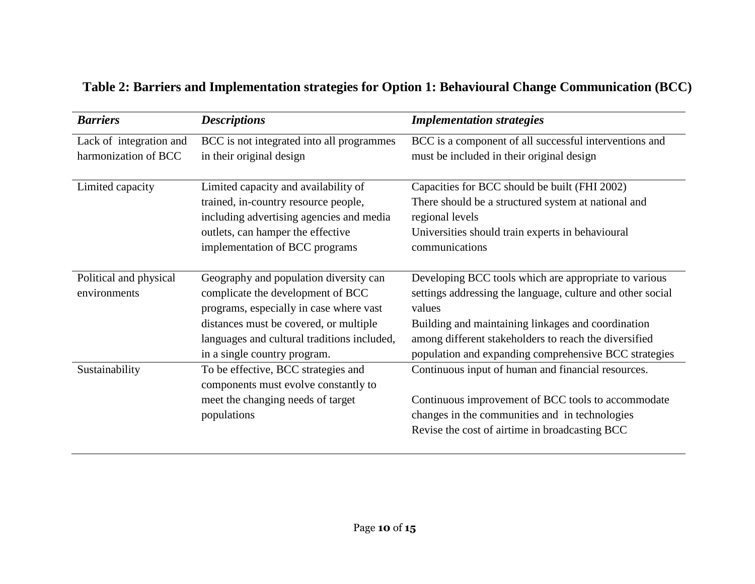| <b>Barriers</b>         | <b>Descriptions</b>                         | <b>Implementation strategies</b>                           |
|-------------------------|---------------------------------------------|------------------------------------------------------------|
| Lack of integration and | BCC is not integrated into all programmes   | BCC is a component of all successful interventions and     |
| harmonization of BCC    | in their original design                    | must be included in their original design                  |
| Limited capacity        | Limited capacity and availability of        | Capacities for BCC should be built (FHI 2002)              |
|                         | trained, in-country resource people,        | There should be a structured system at national and        |
|                         | including advertising agencies and media    | regional levels                                            |
|                         | outlets, can hamper the effective           | Universities should train experts in behavioural           |
|                         | implementation of BCC programs              | communications                                             |
| Political and physical  | Geography and population diversity can      | Developing BCC tools which are appropriate to various      |
| environments            | complicate the development of BCC           | settings addressing the language, culture and other social |
|                         | programs, especially in case where vast     | values                                                     |
|                         | distances must be covered, or multiple      | Building and maintaining linkages and coordination         |
|                         | languages and cultural traditions included, | among different stakeholders to reach the diversified      |
|                         | in a single country program.                | population and expanding comprehensive BCC strategies      |
| Sustainability          | To be effective, BCC strategies and         | Continuous input of human and financial resources.         |
|                         | components must evolve constantly to        |                                                            |
|                         | meet the changing needs of target           | Continuous improvement of BCC tools to accommodate         |
|                         | populations                                 | changes in the communities and in technologies             |
|                         |                                             | Revise the cost of airtime in broadcasting BCC             |

## **Table 2: Barriers and Implementation strategies for Option 1: Behavioural Change Communication (BCC)**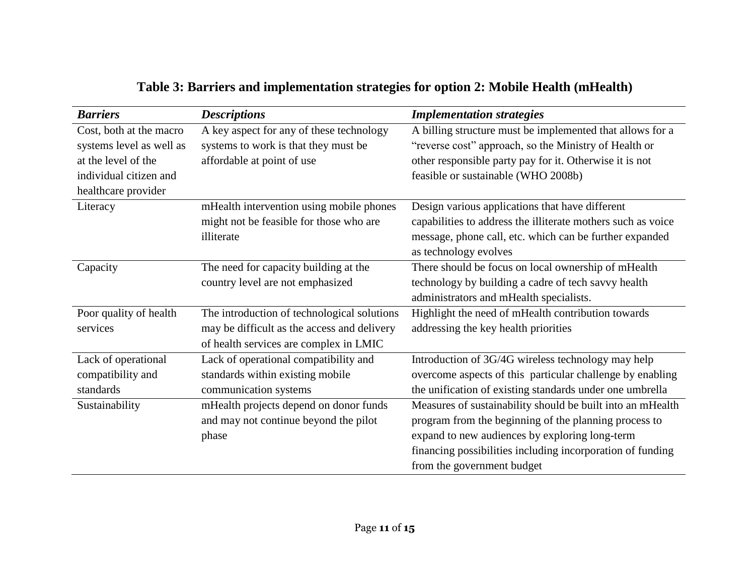| <b>Barriers</b>          | <b>Descriptions</b>                         | <b>Implementation strategies</b>                             |
|--------------------------|---------------------------------------------|--------------------------------------------------------------|
| Cost, both at the macro  | A key aspect for any of these technology    | A billing structure must be implemented that allows for a    |
| systems level as well as | systems to work is that they must be        | "reverse cost" approach, so the Ministry of Health or        |
| at the level of the      | affordable at point of use                  | other responsible party pay for it. Otherwise it is not      |
| individual citizen and   |                                             | feasible or sustainable (WHO 2008b)                          |
| healthcare provider      |                                             |                                                              |
| Literacy                 | mHealth intervention using mobile phones    | Design various applications that have different              |
|                          | might not be feasible for those who are     | capabilities to address the illiterate mothers such as voice |
|                          | illiterate                                  | message, phone call, etc. which can be further expanded      |
|                          |                                             | as technology evolves                                        |
| Capacity                 | The need for capacity building at the       | There should be focus on local ownership of mHealth          |
|                          | country level are not emphasized            | technology by building a cadre of tech savvy health          |
|                          |                                             | administrators and mHealth specialists.                      |
| Poor quality of health   | The introduction of technological solutions | Highlight the need of mHealth contribution towards           |
| services                 | may be difficult as the access and delivery | addressing the key health priorities                         |
|                          | of health services are complex in LMIC      |                                                              |
| Lack of operational      | Lack of operational compatibility and       | Introduction of 3G/4G wireless technology may help           |
| compatibility and        | standards within existing mobile            | overcome aspects of this particular challenge by enabling    |
| standards                | communication systems                       | the unification of existing standards under one umbrella     |
| Sustainability           | mHealth projects depend on donor funds      | Measures of sustainability should be built into an mHealth   |
|                          | and may not continue beyond the pilot       | program from the beginning of the planning process to        |
|                          | phase                                       | expand to new audiences by exploring long-term               |
|                          |                                             | financing possibilities including incorporation of funding   |
|                          |                                             | from the government budget                                   |

## **Table 3: Barriers and implementation strategies for option 2: Mobile Health (mHealth)**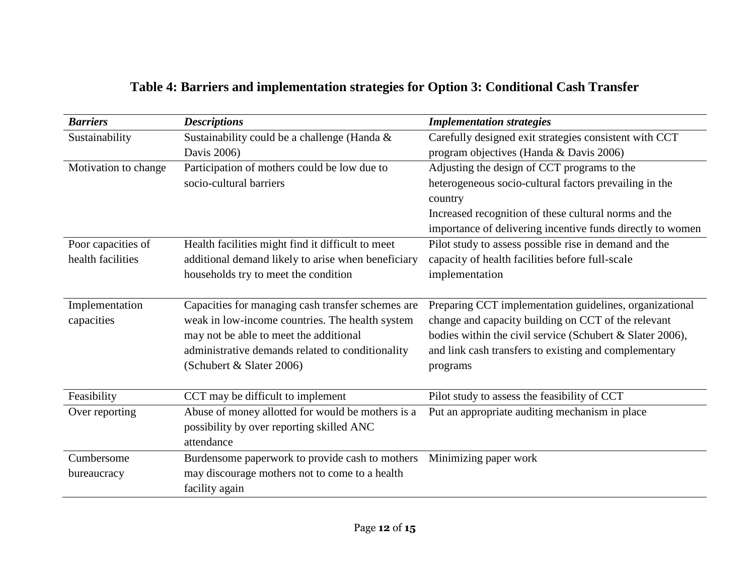## **Table 4: Barriers and implementation strategies for Option 3: Conditional Cash Transfer**

| <b>Barriers</b>      | <b>Descriptions</b>                                | <b>Implementation strategies</b>                           |
|----------------------|----------------------------------------------------|------------------------------------------------------------|
| Sustainability       | Sustainability could be a challenge (Handa &       | Carefully designed exit strategies consistent with CCT     |
|                      | Davis 2006)                                        | program objectives (Handa & Davis 2006)                    |
| Motivation to change | Participation of mothers could be low due to       | Adjusting the design of CCT programs to the                |
|                      | socio-cultural barriers                            | heterogeneous socio-cultural factors prevailing in the     |
|                      |                                                    | country                                                    |
|                      |                                                    | Increased recognition of these cultural norms and the      |
|                      |                                                    | importance of delivering incentive funds directly to women |
| Poor capacities of   | Health facilities might find it difficult to meet  | Pilot study to assess possible rise in demand and the      |
| health facilities    | additional demand likely to arise when beneficiary | capacity of health facilities before full-scale            |
|                      | households try to meet the condition               | implementation                                             |
|                      |                                                    |                                                            |
| Implementation       | Capacities for managing cash transfer schemes are  | Preparing CCT implementation guidelines, organizational    |
| capacities           | weak in low-income countries. The health system    | change and capacity building on CCT of the relevant        |
|                      | may not be able to meet the additional             | bodies within the civil service (Schubert & Slater 2006),  |
|                      | administrative demands related to conditionality   | and link cash transfers to existing and complementary      |
|                      | (Schubert & Slater 2006)                           | programs                                                   |
|                      |                                                    |                                                            |
| Feasibility          | CCT may be difficult to implement                  | Pilot study to assess the feasibility of CCT               |
| Over reporting       | Abuse of money allotted for would be mothers is a  | Put an appropriate auditing mechanism in place             |
|                      | possibility by over reporting skilled ANC          |                                                            |
|                      | attendance                                         |                                                            |
| Cumbersome           | Burdensome paperwork to provide cash to mothers    | Minimizing paper work                                      |
| bureaucracy          | may discourage mothers not to come to a health     |                                                            |
|                      | facility again                                     |                                                            |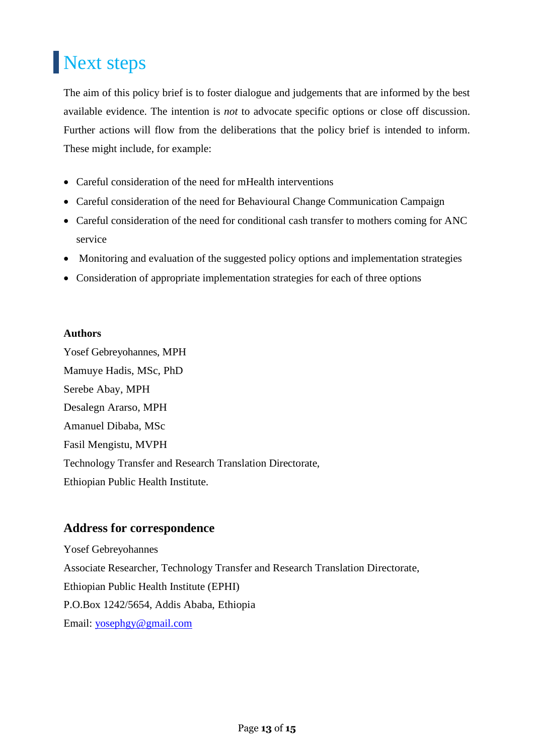# Next steps

The aim of this policy brief is to foster dialogue and judgements that are informed by the best available evidence. The intention is *not* to advocate specific options or close off discussion. Further actions will flow from the deliberations that the policy brief is intended to inform. These might include, for example:

- Careful consideration of the need for mHealth interventions
- Careful consideration of the need for Behavioural Change Communication Campaign
- Careful consideration of the need for conditional cash transfer to mothers coming for ANC service
- Monitoring and evaluation of the suggested policy options and implementation strategies
- Consideration of appropriate implementation strategies for each of three options

#### **Authors**

Yosef Gebreyohannes, MPH Mamuye Hadis, MSc, PhD Serebe Abay, MPH Desalegn Ararso, MPH Amanuel Dibaba, MSc Fasil Mengistu, MVPH Technology Transfer and Research Translation Directorate, Ethiopian Public Health Institute.

#### **Address for correspondence**

Yosef Gebreyohannes Associate Researcher, Technology Transfer and Research Translation Directorate, Ethiopian Public Health Institute (EPHI) P.O.Box 1242/5654, Addis Ababa, Ethiopia Email: [yosephgy@gmail.com](mailto:yosephgy@gmail.com)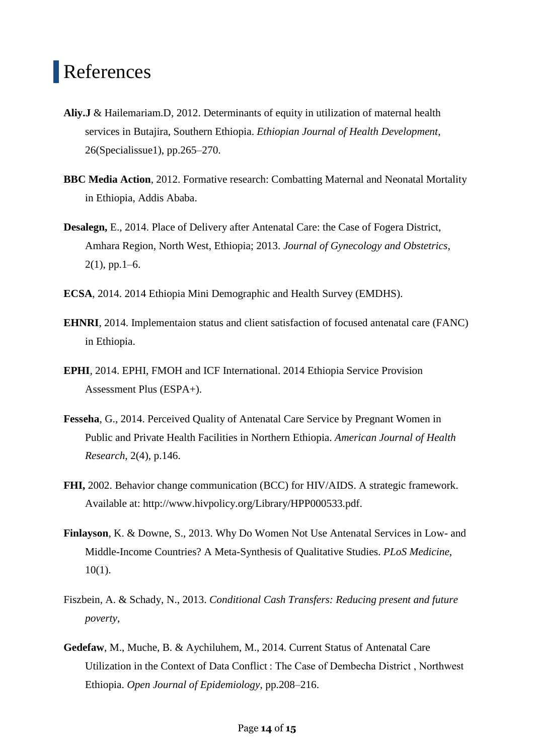## References

- **Aliy.J** & Hailemariam.D, 2012. Determinants of equity in utilization of maternal health services in Butajira, Southern Ethiopia. *Ethiopian Journal of Health Development*, 26(Specialissue1), pp.265–270.
- **BBC Media Action**, 2012. Formative research: Combatting Maternal and Neonatal Mortality in Ethiopia, Addis Ababa.
- **Desalegn,** E., 2014. Place of Delivery after Antenatal Care: the Case of Fogera District, Amhara Region, North West, Ethiopia; 2013. *Journal of Gynecology and Obstetrics*,  $2(1)$ , pp. 1–6.
- **ECSA**, 2014. 2014 Ethiopia Mini Demographic and Health Survey (EMDHS).
- **EHNRI**, 2014. Implementaion status and client satisfaction of focused antenatal care (FANC) in Ethiopia.
- **EPHI**, 2014. EPHI, FMOH and ICF International. 2014 Ethiopia Service Provision Assessment Plus (ESPA+).
- **Fesseha**, G., 2014. Perceived Quality of Antenatal Care Service by Pregnant Women in Public and Private Health Facilities in Northern Ethiopia. *American Journal of Health Research*, 2(4), p.146.
- **FHI,** 2002. Behavior change communication (BCC) for HIV/AIDS. A strategic framework. Available at: http://www.hivpolicy.org/Library/HPP000533.pdf.
- **Finlayson**, K. & Downe, S., 2013. Why Do Women Not Use Antenatal Services in Low- and Middle-Income Countries? A Meta-Synthesis of Qualitative Studies. *PLoS Medicine*, 10(1).
- Fiszbein, A. & Schady, N., 2013. *Conditional Cash Transfers: Reducing present and future poverty*,
- **Gedefaw**, M., Muche, B. & Aychiluhem, M., 2014. Current Status of Antenatal Care Utilization in the Context of Data Conflict : The Case of Dembecha District , Northwest Ethiopia. *Open Journal of Epidemiology*, pp.208–216.